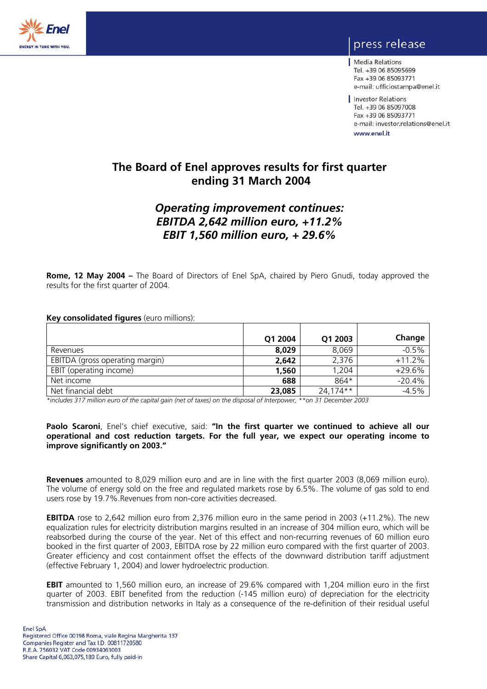

## press release

Media Relations Tel. +39 06 85095699 Fax +39 06 85093771 e-mail: ufficiostampa@enel.it

Investor Relations Tel. +39 06 85097008 Fax +39 06 85093771 e-mail: investor.relations@enel.it www.enel.it

**The Board of Enel approves results for first quarter ending 31 March 2004** 

## *Operating improvement continues: EBITDA 2,642 million euro, +11.2% EBIT 1,560 million euro, + 29.6%*

**Rome, 12 May 2004 –** The Board of Directors of Enel SpA, chaired by Piero Gnudi, today approved the results for the first quarter of 2004.

## **Key consolidated figures** (euro millions):

|                                 | Q1 2004 | Q1 2003  | Change   |
|---------------------------------|---------|----------|----------|
| Revenues                        | 8,029   | 8,069    | $-0.5%$  |
| EBITDA (gross operating margin) | 2,642   | 2.376    | $+11.2%$ |
| EBIT (operating income)         | 1,560   | 1.204    | $+29.6%$ |
| Net income                      | 688     | 864*     | $-20.4%$ |
| Net financial debt              | 23,085  | 24,174** | $-4.5%$  |

*\*includes 317 million euro of the capital gain (net of taxes) on the disposal of Interpower, \*\*on 31 December 2003* 

### **Paolo Scaroni**, Enel's chief executive, said: **"In the first quarter we continued to achieve all our operational and cost reduction targets. For the full year, we expect our operating income to improve significantly on 2003."**

**Revenues** amounted to 8,029 million euro and are in line with the first quarter 2003 (8,069 million euro). The volume of energy sold on the free and regulated markets rose by 6.5%. The volume of gas sold to end users rose by 19.7%.Revenues from non-core activities decreased.

**EBITDA** rose to 2,642 million euro from 2,376 million euro in the same period in 2003 (+11.2%). The new equalization rules for electricity distribution margins resulted in an increase of 304 million euro, which will be reabsorbed during the course of the year. Net of this effect and non-recurring revenues of 60 million euro booked in the first quarter of 2003, EBITDA rose by 22 million euro compared with the first quarter of 2003. Greater efficiency and cost containment offset the effects of the downward distribution tariff adjustment (effective February 1, 2004) and lower hydroelectric production.

**EBIT** amounted to 1,560 million euro, an increase of 29.6% compared with 1,204 million euro in the first quarter of 2003. EBIT benefited from the reduction (-145 million euro) of depreciation for the electricity transmission and distribution networks in Italy as a consequence of the re-definition of their residual useful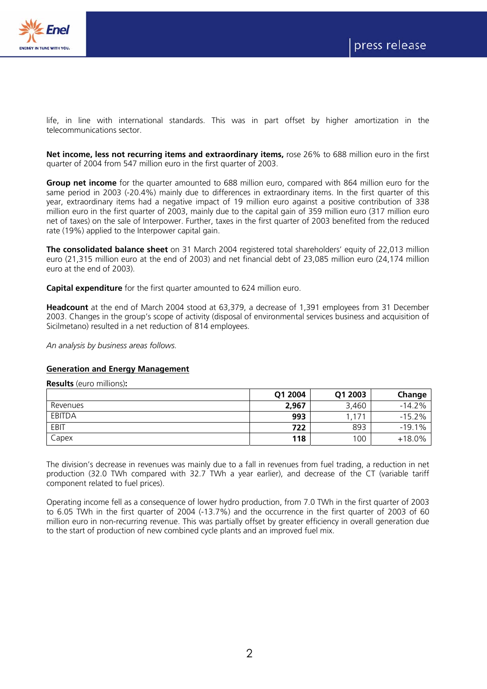

life, in line with international standards. This was in part offset by higher amortization in the telecommunications sector.

**Net income, less not recurring items and extraordinary items,** rose 26% to 688 million euro in the first quarter of 2004 from 547 million euro in the first quarter of 2003.

**Group net income** for the quarter amounted to 688 million euro, compared with 864 million euro for the same period in 2003 (-20.4%) mainly due to differences in extraordinary items. In the first quarter of this year, extraordinary items had a negative impact of 19 million euro against a positive contribution of 338 million euro in the first quarter of 2003, mainly due to the capital gain of 359 million euro (317 million euro net of taxes) on the sale of Interpower. Further, taxes in the first quarter of 2003 benefited from the reduced rate (19%) applied to the Interpower capital gain.

**The consolidated balance sheet** on 31 March 2004 registered total shareholders' equity of 22,013 million euro (21,315 million euro at the end of 2003) and net financial debt of 23,085 million euro (24,174 million euro at the end of 2003).

**Capital expenditure** for the first quarter amounted to 624 million euro.

**Headcount** at the end of March 2004 stood at 63,379, a decrease of 1,391 employees from 31 December 2003. Changes in the group's scope of activity (disposal of environmental services business and acquisition of Sicilmetano) resulted in a net reduction of 814 employees.

*An analysis by business areas follows.* 

#### **Generation and Energy Management**

**Results** (euro millions)**:** 

|               | Q1 2004 | Q1 2003       | Change   |
|---------------|---------|---------------|----------|
| Revenues      | 2,967   | 3,460         | $-14.2%$ |
| <b>EBITDA</b> | 993     | $,17^{\circ}$ | $-15.2%$ |
| EBIT          | 722     | 893           | $-19.1%$ |
| Capex         | 118     | 100           | $+18.0%$ |

The division's decrease in revenues was mainly due to a fall in revenues from fuel trading, a reduction in net production (32.0 TWh compared with 32.7 TWh a year earlier), and decrease of the CT (variable tariff component related to fuel prices).

Operating income fell as a consequence of lower hydro production, from 7.0 TWh in the first quarter of 2003 to 6.05 TWh in the first quarter of 2004 (-13.7%) and the occurrence in the first quarter of 2003 of 60 million euro in non-recurring revenue. This was partially offset by greater efficiency in overall generation due to the start of production of new combined cycle plants and an improved fuel mix.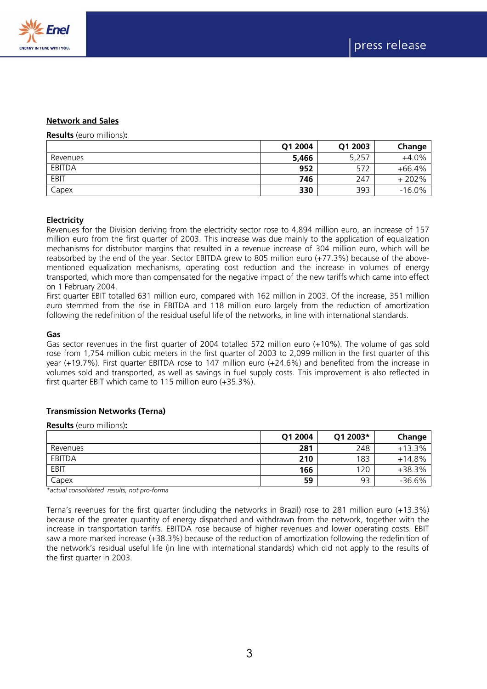



### **Network and Sales**

**Results** (euro millions)**:** 

|          | Q1 2004 | Q1 2003 | Change   |
|----------|---------|---------|----------|
| Revenues | 5,466   | 5.257   | $+4.0%$  |
| EBITDA   | 952     | 572     | $+66.4%$ |
| EBIT     | 746     | 247     | $+202%$  |
| Capex    | 330     | 393     | $-16.0%$ |

#### **Electricity**

Revenues for the Division deriving from the electricity sector rose to 4,894 million euro, an increase of 157 million euro from the first quarter of 2003. This increase was due mainly to the application of equalization mechanisms for distributor margins that resulted in a revenue increase of 304 million euro, which will be reabsorbed by the end of the year. Sector EBITDA grew to 805 million euro (+77.3%) because of the abovementioned equalization mechanisms, operating cost reduction and the increase in volumes of energy transported, which more than compensated for the negative impact of the new tariffs which came into effect on 1 February 2004.

First quarter EBIT totalled 631 million euro, compared with 162 million in 2003. Of the increase, 351 million euro stemmed from the rise in EBITDA and 118 million euro largely from the reduction of amortization following the redefinition of the residual useful life of the networks, in line with international standards.

#### **Gas**

Gas sector revenues in the first quarter of 2004 totalled 572 million euro (+10%). The volume of gas sold rose from 1,754 million cubic meters in the first quarter of 2003 to 2,099 million in the first quarter of this year (+19.7%). First quarter EBITDA rose to 147 million euro (+24.6%) and benefited from the increase in volumes sold and transported, as well as savings in fuel supply costs. This improvement is also reflected in first quarter EBIT which came to 115 million euro (+35.3%).

#### **Transmission Networks (Terna)**

**Results** (euro millions)**:** 

|               | Q1 2004 | Q1 2003* | Change   |
|---------------|---------|----------|----------|
| Revenues      | 281     | 248      | $+13.3%$ |
| <b>EBITDA</b> | 210     | 183      | $+14.8%$ |
| EBIT          | 166     | 120      | +38.3%   |
| Capex         | 59      | 93       | $-36.6%$ |

*\*actual consolidated results, not pro-forma* 

Terna's revenues for the first quarter (including the networks in Brazil) rose to 281 million euro (+13.3%) because of the greater quantity of energy dispatched and withdrawn from the network, together with the increase in transportation tariffs. EBITDA rose because of higher revenues and lower operating costs. EBIT saw a more marked increase (+38.3%) because of the reduction of amortization following the redefinition of the network's residual useful life (in line with international standards) which did not apply to the results of the first quarter in 2003.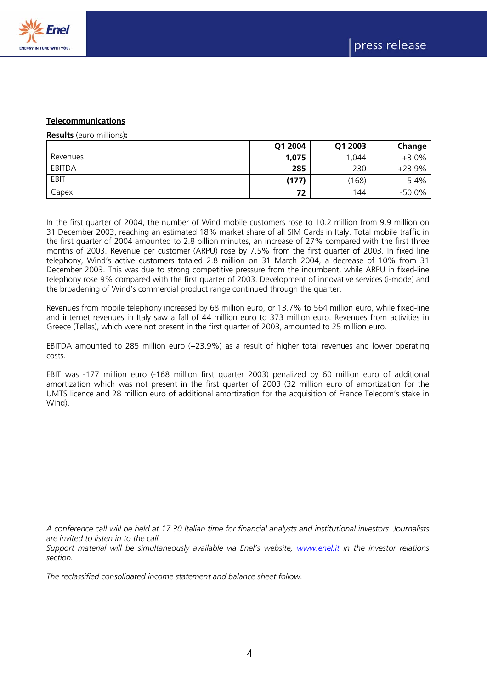

## **Telecommunications**

**Results** (euro millions)**:** 

|          | Q1 2004 | Q1 2003 | Change   |
|----------|---------|---------|----------|
| Revenues | 1,075   | ,044    | $+3.0%$  |
| EBITDA   | 285     | 230     | $+23.9%$ |
| EBIT     | (177)   | (168)   | $-5.4%$  |
| Capex    | 72      | 144     | $-50.0%$ |

In the first quarter of 2004, the number of Wind mobile customers rose to 10.2 million from 9.9 million on 31 December 2003, reaching an estimated 18% market share of all SIM Cards in Italy. Total mobile traffic in the first quarter of 2004 amounted to 2.8 billion minutes, an increase of 27% compared with the first three months of 2003. Revenue per customer (ARPU) rose by 7.5% from the first quarter of 2003. In fixed line telephony, Wind's active customers totaled 2.8 million on 31 March 2004, a decrease of 10% from 31 December 2003. This was due to strong competitive pressure from the incumbent, while ARPU in fixed-line telephony rose 9% compared with the first quarter of 2003. Development of innovative services (i-mode) and the broadening of Wind's commercial product range continued through the quarter.

Revenues from mobile telephony increased by 68 million euro, or 13.7% to 564 million euro, while fixed-line and internet revenues in Italy saw a fall of 44 million euro to 373 million euro. Revenues from activities in Greece (Tellas), which were not present in the first quarter of 2003, amounted to 25 million euro.

EBITDA amounted to 285 million euro (+23.9%) as a result of higher total revenues and lower operating costs.

EBIT was -177 million euro (-168 million first quarter 2003) penalized by 60 million euro of additional amortization which was not present in the first quarter of 2003 (32 million euro of amortization for the UMTS licence and 28 million euro of additional amortization for the acquisition of France Telecom's stake in Wind).

*A conference call will be held at 17.30 Italian time for financial analysts and institutional investors. Journalists are invited to listen in to the call.* 

*Support material will be simultaneously available via Enel's website, www.enel.it in the investor relations section.* 

*The reclassified consolidated income statement and balance sheet follow.*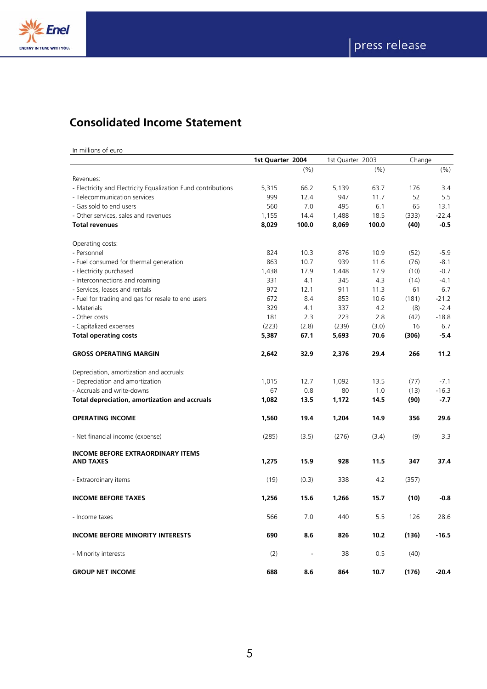

## **Consolidated Income Statement**

In millions of euro

|                                                               | 1st Quarter 2004 |       | 1st Quarter 2003 |       | Change |         |
|---------------------------------------------------------------|------------------|-------|------------------|-------|--------|---------|
|                                                               |                  | (9/6) |                  | (%)   |        | (% )    |
| Revenues:                                                     |                  |       |                  |       |        |         |
| - Electricity and Electricity Equalization Fund contributions | 5,315            | 66.2  | 5,139            | 63.7  | 176    | 3.4     |
| - Telecommunication services                                  | 999              | 12.4  | 947              | 11.7  | 52     | 5.5     |
| - Gas sold to end users                                       | 560              | 7.0   | 495              | 6.1   | 65     | 13.1    |
| - Other services, sales and revenues                          | 1,155            | 14.4  | 1,488            | 18.5  | (333)  | $-22.4$ |
| <b>Total revenues</b>                                         | 8,029            | 100.0 | 8,069            | 100.0 | (40)   | $-0.5$  |
| Operating costs:                                              |                  |       |                  |       |        |         |
| - Personnel                                                   | 824              | 10.3  | 876              | 10.9  | (52)   | $-5.9$  |
| - Fuel consumed for thermal generation                        | 863              | 10.7  | 939              | 11.6  | (76)   | $-8.1$  |
| - Electricity purchased                                       | 1,438            | 17.9  | 1,448            | 17.9  | (10)   | $-0.7$  |
| - Interconnections and roaming                                | 331              | 4.1   | 345              | 4.3   | (14)   | $-4.1$  |
| - Services, leases and rentals                                | 972              | 12.1  | 911              | 11.3  | 61     | 6.7     |
| - Fuel for trading and gas for resale to end users            | 672              | 8.4   | 853              | 10.6  | (181)  | $-21.2$ |
| - Materials                                                   | 329              | 4.1   | 337              | 4.2   | (8)    | $-2.4$  |
| - Other costs                                                 | 181              | 2.3   | 223              | 2.8   | (42)   | $-18.8$ |
| - Capitalized expenses                                        | (223)            | (2.8) | (239)            | (3.0) | 16     | 6.7     |
| <b>Total operating costs</b>                                  | 5,387            | 67.1  | 5,693            | 70.6  | (306)  | -5.4    |
|                                                               |                  |       |                  |       |        |         |
| <b>GROSS OPERATING MARGIN</b>                                 | 2,642            | 32.9  | 2,376            | 29.4  | 266    | 11.2    |
| Depreciation, amortization and accruals:                      |                  |       |                  |       |        |         |
| - Depreciation and amortization                               | 1,015            | 12.7  | 1,092            | 13.5  | (77)   | $-7.1$  |
| - Accruals and write-downs                                    | 67               | 0.8   | 80               | 1.0   | (13)   | $-16.3$ |
| Total depreciation, amortization and accruals                 | 1,082            | 13.5  | 1,172            | 14.5  | (90)   | $-7.7$  |
| <b>OPERATING INCOME</b>                                       | 1,560            | 19.4  | 1,204            | 14.9  | 356    | 29.6    |
| - Net financial income (expense)                              | (285)            | (3.5) | (276)            | (3.4) | (9)    | 3.3     |
| <b>INCOME BEFORE EXTRAORDINARY ITEMS</b>                      |                  |       |                  |       |        |         |
| <b>AND TAXES</b>                                              | 1,275            | 15.9  | 928              | 11.5  | 347    | 37.4    |
| - Extraordinary items                                         | (19)             | (0.3) | 338              | 4.2   | (357)  |         |
| <b>INCOME BEFORE TAXES</b>                                    | 1,256            | 15.6  | 1,266            | 15.7  | (10)   | $-0.8$  |
| - Income taxes                                                | 566              | 7.0   | 440              | 5.5   | 126    | 28.6    |
| <b>INCOME BEFORE MINORITY INTERESTS</b>                       | 690              | 8.6   | 826              | 10.2  | (136)  | $-16.5$ |
| - Minority interests                                          | (2)              |       | 38               | 0.5   | (40)   |         |
| <b>GROUP NET INCOME</b>                                       | 688              | 8.6   | 864              | 10.7  | (176)  | $-20.4$ |